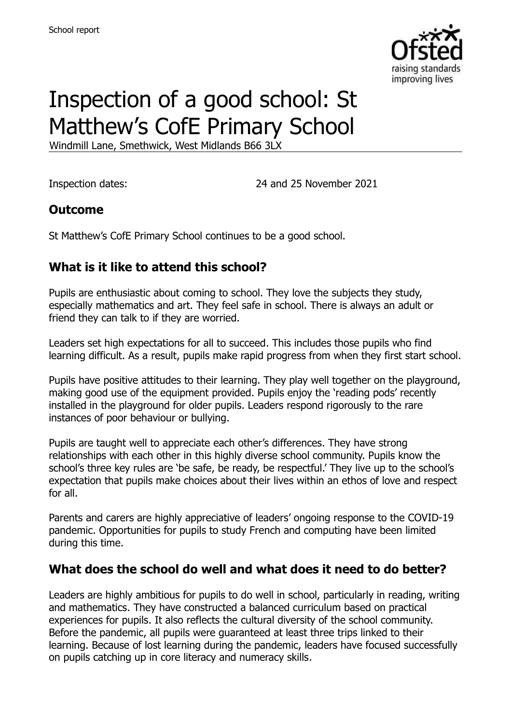

# Inspection of a good school: St Matthew's CofE Primary School

Windmill Lane, Smethwick, West Midlands B66 3LX

Inspection dates: 24 and 25 November 2021

#### **Outcome**

St Matthew's CofE Primary School continues to be a good school.

### **What is it like to attend this school?**

Pupils are enthusiastic about coming to school. They love the subjects they study, especially mathematics and art. They feel safe in school. There is always an adult or friend they can talk to if they are worried.

Leaders set high expectations for all to succeed. This includes those pupils who find learning difficult. As a result, pupils make rapid progress from when they first start school.

Pupils have positive attitudes to their learning. They play well together on the playground, making good use of the equipment provided. Pupils enjoy the 'reading pods' recently installed in the playground for older pupils. Leaders respond rigorously to the rare instances of poor behaviour or bullying.

Pupils are taught well to appreciate each other's differences. They have strong relationships with each other in this highly diverse school community. Pupils know the school's three key rules are 'be safe, be ready, be respectful.' They live up to the school's expectation that pupils make choices about their lives within an ethos of love and respect for all.

Parents and carers are highly appreciative of leaders' ongoing response to the COVID-19 pandemic. Opportunities for pupils to study French and computing have been limited during this time.

#### **What does the school do well and what does it need to do better?**

Leaders are highly ambitious for pupils to do well in school, particularly in reading, writing and mathematics. They have constructed a balanced curriculum based on practical experiences for pupils. It also reflects the cultural diversity of the school community. Before the pandemic, all pupils were guaranteed at least three trips linked to their learning. Because of lost learning during the pandemic, leaders have focused successfully on pupils catching up in core literacy and numeracy skills.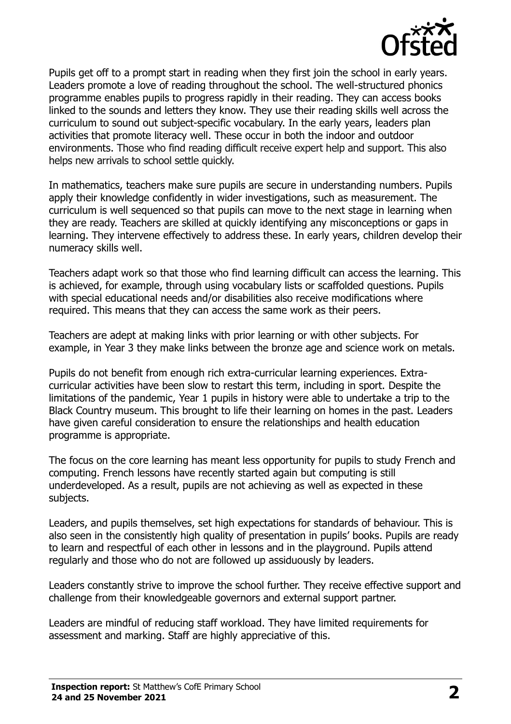

Pupils get off to a prompt start in reading when they first join the school in early years. Leaders promote a love of reading throughout the school. The well-structured phonics programme enables pupils to progress rapidly in their reading. They can access books linked to the sounds and letters they know. They use their reading skills well across the curriculum to sound out subject-specific vocabulary. In the early years, leaders plan activities that promote literacy well. These occur in both the indoor and outdoor environments. Those who find reading difficult receive expert help and support. This also helps new arrivals to school settle quickly.

In mathematics, teachers make sure pupils are secure in understanding numbers. Pupils apply their knowledge confidently in wider investigations, such as measurement. The curriculum is well sequenced so that pupils can move to the next stage in learning when they are ready. Teachers are skilled at quickly identifying any misconceptions or gaps in learning. They intervene effectively to address these. In early years, children develop their numeracy skills well.

Teachers adapt work so that those who find learning difficult can access the learning. This is achieved, for example, through using vocabulary lists or scaffolded questions. Pupils with special educational needs and/or disabilities also receive modifications where required. This means that they can access the same work as their peers.

Teachers are adept at making links with prior learning or with other subjects. For example, in Year 3 they make links between the bronze age and science work on metals.

Pupils do not benefit from enough rich extra-curricular learning experiences. Extracurricular activities have been slow to restart this term, including in sport. Despite the limitations of the pandemic, Year 1 pupils in history were able to undertake a trip to the Black Country museum. This brought to life their learning on homes in the past. Leaders have given careful consideration to ensure the relationships and health education programme is appropriate.

The focus on the core learning has meant less opportunity for pupils to study French and computing. French lessons have recently started again but computing is still underdeveloped. As a result, pupils are not achieving as well as expected in these subjects.

Leaders, and pupils themselves, set high expectations for standards of behaviour. This is also seen in the consistently high quality of presentation in pupils' books. Pupils are ready to learn and respectful of each other in lessons and in the playground. Pupils attend regularly and those who do not are followed up assiduously by leaders.

Leaders constantly strive to improve the school further. They receive effective support and challenge from their knowledgeable governors and external support partner.

Leaders are mindful of reducing staff workload. They have limited requirements for assessment and marking. Staff are highly appreciative of this.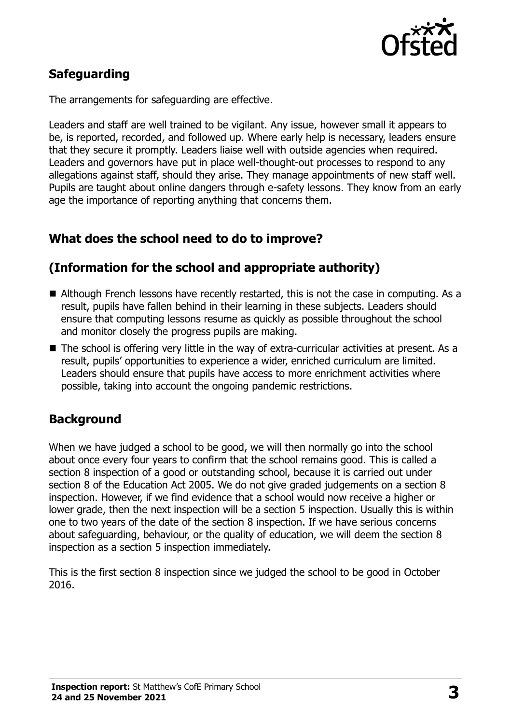

# **Safeguarding**

The arrangements for safeguarding are effective.

Leaders and staff are well trained to be vigilant. Any issue, however small it appears to be, is reported, recorded, and followed up. Where early help is necessary, leaders ensure that they secure it promptly. Leaders liaise well with outside agencies when required. Leaders and governors have put in place well-thought-out processes to respond to any allegations against staff, should they arise. They manage appointments of new staff well. Pupils are taught about online dangers through e-safety lessons. They know from an early age the importance of reporting anything that concerns them.

# **What does the school need to do to improve?**

# **(Information for the school and appropriate authority)**

- Although French lessons have recently restarted, this is not the case in computing. As a result, pupils have fallen behind in their learning in these subjects. Leaders should ensure that computing lessons resume as quickly as possible throughout the school and monitor closely the progress pupils are making.
- The school is offering very little in the way of extra-curricular activities at present. As a result, pupils' opportunities to experience a wider, enriched curriculum are limited. Leaders should ensure that pupils have access to more enrichment activities where possible, taking into account the ongoing pandemic restrictions.

# **Background**

When we have judged a school to be good, we will then normally go into the school about once every four years to confirm that the school remains good. This is called a section 8 inspection of a good or outstanding school, because it is carried out under section 8 of the Education Act 2005. We do not give graded judgements on a section 8 inspection. However, if we find evidence that a school would now receive a higher or lower grade, then the next inspection will be a section 5 inspection. Usually this is within one to two years of the date of the section 8 inspection. If we have serious concerns about safeguarding, behaviour, or the quality of education, we will deem the section 8 inspection as a section 5 inspection immediately.

This is the first section 8 inspection since we judged the school to be good in October 2016.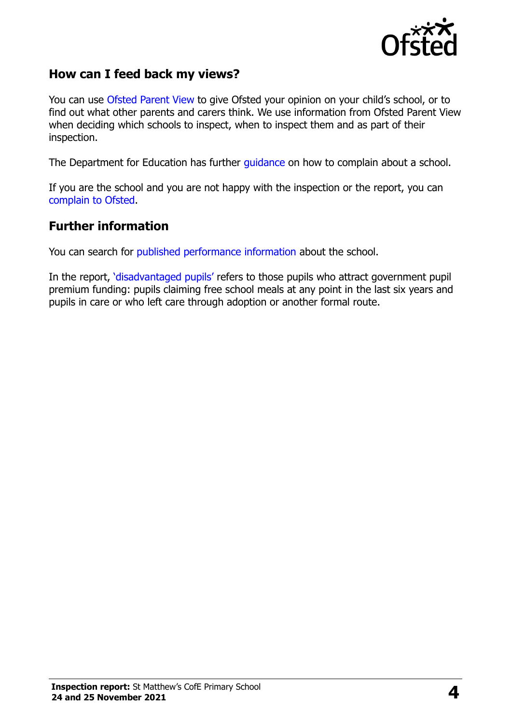

#### **How can I feed back my views?**

You can use Ofsted [Parent View](https://parentview.ofsted.gov.uk/) to give Ofsted your opinion on your child's school, or to find out what other parents and carers think. We use information from Ofsted Parent View when deciding which schools to inspect, when to inspect them and as part of their inspection.

The Department for Education has further [guidance](http://www.gov.uk/complain-about-school) on how to complain about a school.

If you are the school and you are not happy with the inspection or the report, you can [complain to Ofsted.](https://www.gov.uk/complain-ofsted-report)

#### **Further information**

You can search for [published performance information](http://www.compare-school-performance.service.gov.uk/) about the school.

In the report, '[disadvantaged pupils](http://www.gov.uk/guidance/pupil-premium-information-for-schools-and-alternative-provision-settings)' refers to those pupils who attract government pupil premium funding: pupils claiming free school meals at any point in the last six years and pupils in care or who left care through adoption or another formal route.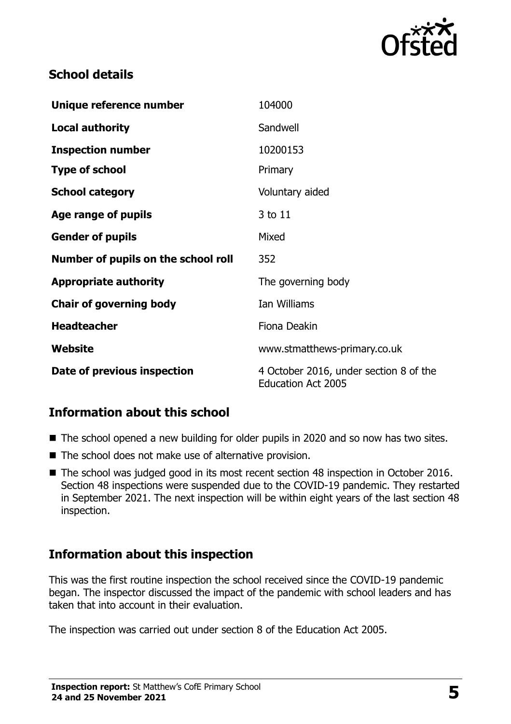

### **School details**

| Unique reference number             | 104000                                                              |
|-------------------------------------|---------------------------------------------------------------------|
| <b>Local authority</b>              | Sandwell                                                            |
| <b>Inspection number</b>            | 10200153                                                            |
| <b>Type of school</b>               | Primary                                                             |
| <b>School category</b>              | Voluntary aided                                                     |
| Age range of pupils                 | 3 to 11                                                             |
| <b>Gender of pupils</b>             | Mixed                                                               |
| Number of pupils on the school roll | 352                                                                 |
| <b>Appropriate authority</b>        | The governing body                                                  |
| <b>Chair of governing body</b>      | Ian Williams                                                        |
| <b>Headteacher</b>                  | Fiona Deakin                                                        |
| Website                             | www.stmatthews-primary.co.uk                                        |
| Date of previous inspection         | 4 October 2016, under section 8 of the<br><b>Education Act 2005</b> |

# **Information about this school**

- The school opened a new building for older pupils in 2020 and so now has two sites.
- The school does not make use of alternative provision.
- The school was judged good in its most recent section 48 inspection in October 2016. Section 48 inspections were suspended due to the COVID-19 pandemic. They restarted in September 2021. The next inspection will be within eight years of the last section 48 inspection.

#### **Information about this inspection**

This was the first routine inspection the school received since the COVID-19 pandemic began. The inspector discussed the impact of the pandemic with school leaders and has taken that into account in their evaluation.

The inspection was carried out under section 8 of the Education Act 2005.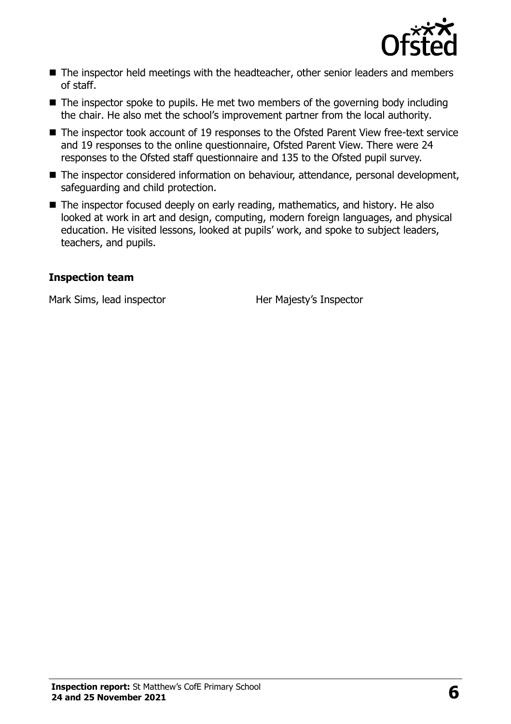

- The inspector held meetings with the headteacher, other senior leaders and members of staff.
- $\blacksquare$  The inspector spoke to pupils. He met two members of the governing body including the chair. He also met the school's improvement partner from the local authority.
- The inspector took account of 19 responses to the Ofsted Parent View free-text service and 19 responses to the online questionnaire, Ofsted Parent View. There were 24 responses to the Ofsted staff questionnaire and 135 to the Ofsted pupil survey.
- The inspector considered information on behaviour, attendance, personal development, safeguarding and child protection.
- The inspector focused deeply on early reading, mathematics, and history. He also looked at work in art and design, computing, modern foreign languages, and physical education. He visited lessons, looked at pupils' work, and spoke to subject leaders, teachers, and pupils.

#### **Inspection team**

Mark Sims, lead inspector **Her Majesty's Inspector**